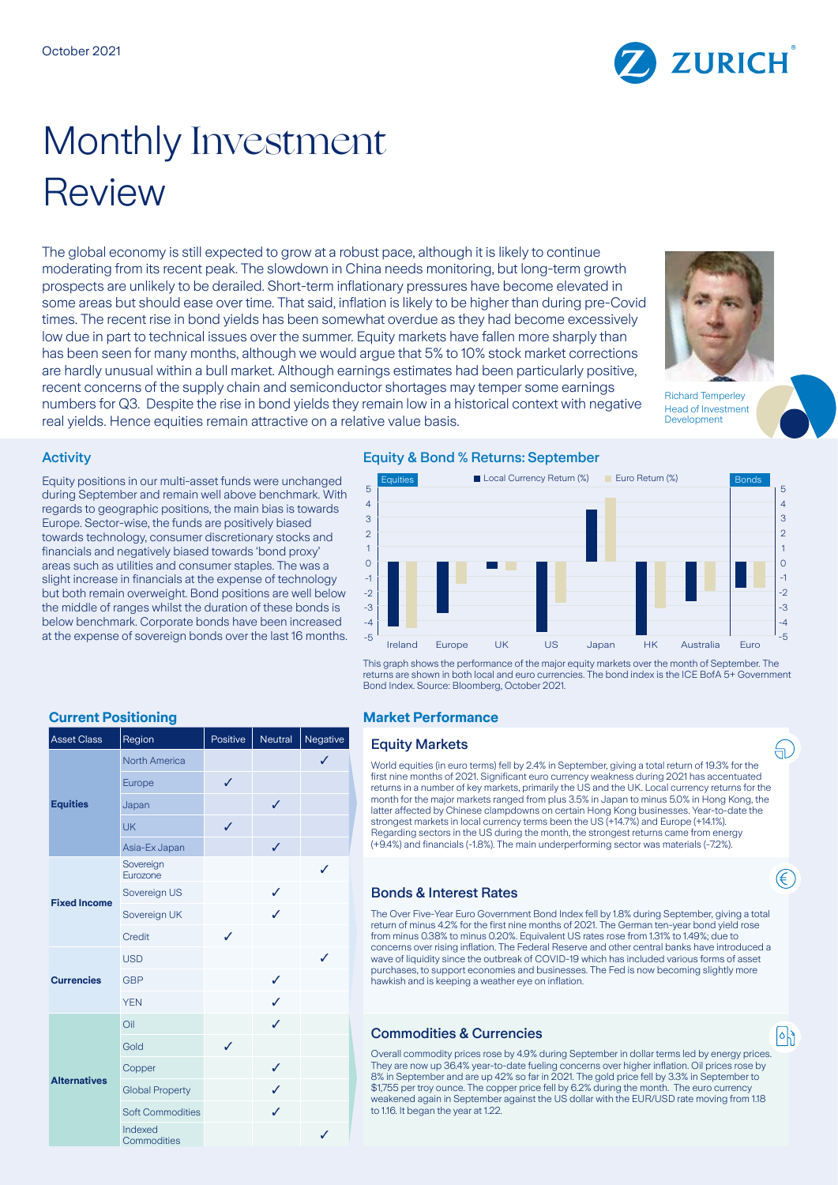

# Monthly Investment Review

The global economy is still expected to grow at a robust pace, although it is likely to continue moderating from its recent peak. The slowdown in China needs monitoring, but long-term growth prospects are unlikely to be derailed. Short-term inflationary pressures have become elevated in some areas but should ease over time. That said, inflation is likely to be higher than during pre-Covid times. The recent rise in bond yields has been somewhat overdue as they had become excessively low due in part to technical issues over the summer. Equity markets have fallen more sharply than has been seen for many months, although we would argue that 5% to 10% stock market corrections are hardly unusual within a bull market. Although earnings estimates had been particularly positive, recent concerns of the supply chain and semiconductor shortages may temper some earnings numbers for Q3. Despite the rise in bond yields they remain low in a historical context with negative real yields. Hence equities remain attractive on a relative value basis.



Richard Temperley Head of Investment **Development** 

# **Activity**

Equity positions in our multi-asset funds were unchanged during September and remain well above benchmark. With regards to geographic positions, the main bias is towards Europe. Sector-wise, the funds are positively biased towards technology, consumer discretionary stocks and financials and negatively biased towards 'bond proxy' areas such as utilities and consumer staples. The was a slight increase in financials at the expense of technology but both remain overweight. Bond positions are well below the middle of ranges whilst the duration of these bonds is below benchmark. Corporate bonds have been increased at the expense of sovereign bonds over the last 16 months.

# Equity & Bond % Returns: September



This graph shows the performance of the major equity markets over the month of September. The returns are shown in both local and euro currencies. The bond index is the ICE BofA 5+ Government Bond Index. Source: Bloomberg, October 2021.

# **Current Positioning Market Performance**

#### **Equity Markets**

World equities (in euro terms) fell by 2.4% in September, giving a total return of 19.3% for the first nine months of 2021. Significant euro currency weakness during 2021 has accentuated returns in a number of key markets, primarily the US and the UK. Local currency returns for the month for the major markets ranged from plus 3.5% in Japan to minus 5.0% in Hong Kong, the latter affected by Chinese clampdowns on certain Hong Kong businesses. Year-to-date the strongest markets in local currency terms been the US (+14.7%) and Europe (+14.1%). Regarding sectors in the US during the month, the strongest returns came from energy (+9.4%) and financials (-1.8%). The main underperforming sector was materials (-7.2%).

### Bonds & Interest Rates

The Over Five-Year Euro Government Bond Index fell by 1.8% during September, giving a total return of minus 4.2% for the first nine months of 2021. The German ten-year bond yield rose from minus 0.38% to minus 0.20%. Equivalent US rates rose from 1.31% to 1.49%; due to concerns over rising inflation. The Federal Reserve and other central banks have introduced a wave of liquidity since the outbreak of COVID-19 which has included various forms of asset purchases, to support economies and businesses. The Fed is now becoming slightly more hawkish and is keeping a weather eye on inflation.

### **Commodities & Currencies**

Overall commodity prices rose by 4.9% during September in dollar terms led by energy prices. They are now up 36.4% year-to-date fueling concerns over higher inflation. Oil prices rose by 8% in September and are up 42% so far in 2021. The gold price fell by 3.3% in September to \$1,755 per troy ounce. The copper price fell by 6.2% during the month. The euro currency weakened again in September against the US dollar with the EUR/USD rate moving from 1.18 to 1.16. It began the year at 1.22.

| <b>Asset Class</b>  | Region                  | Positive | Neutral      | Negative |
|---------------------|-------------------------|----------|--------------|----------|
| <b>Equities</b>     | <b>North America</b>    |          |              | ✓        |
|                     | Europe                  | ✓        |              |          |
|                     | Japan                   |          | ✓            |          |
|                     | <b>UK</b>               | ✓        |              |          |
|                     | Asia-Ex Japan           |          | $\checkmark$ |          |
| <b>Fixed Income</b> | Sovereign<br>Eurozone   |          |              | ✓        |
|                     | Sovereign US            |          | ✓            |          |
|                     | Sovereign UK            |          | J            |          |
|                     | Credit                  | J        |              |          |
| <b>Currencies</b>   | <b>USD</b>              |          |              | J        |
|                     | <b>GBP</b>              |          | ✓            |          |
|                     | <b>YEN</b>              |          | ✓            |          |
| <b>Alternatives</b> | Oil                     |          | ✓            |          |
|                     | Gold                    | ✓        |              |          |
|                     | Copper                  |          | ✓            |          |
|                     | <b>Global Property</b>  |          | ✓            |          |
|                     | <b>Soft Commodities</b> |          | ✓            |          |
|                     | Indexed<br>Commodities  |          |              | ✓        |

 $|\circ|$ 

(H

€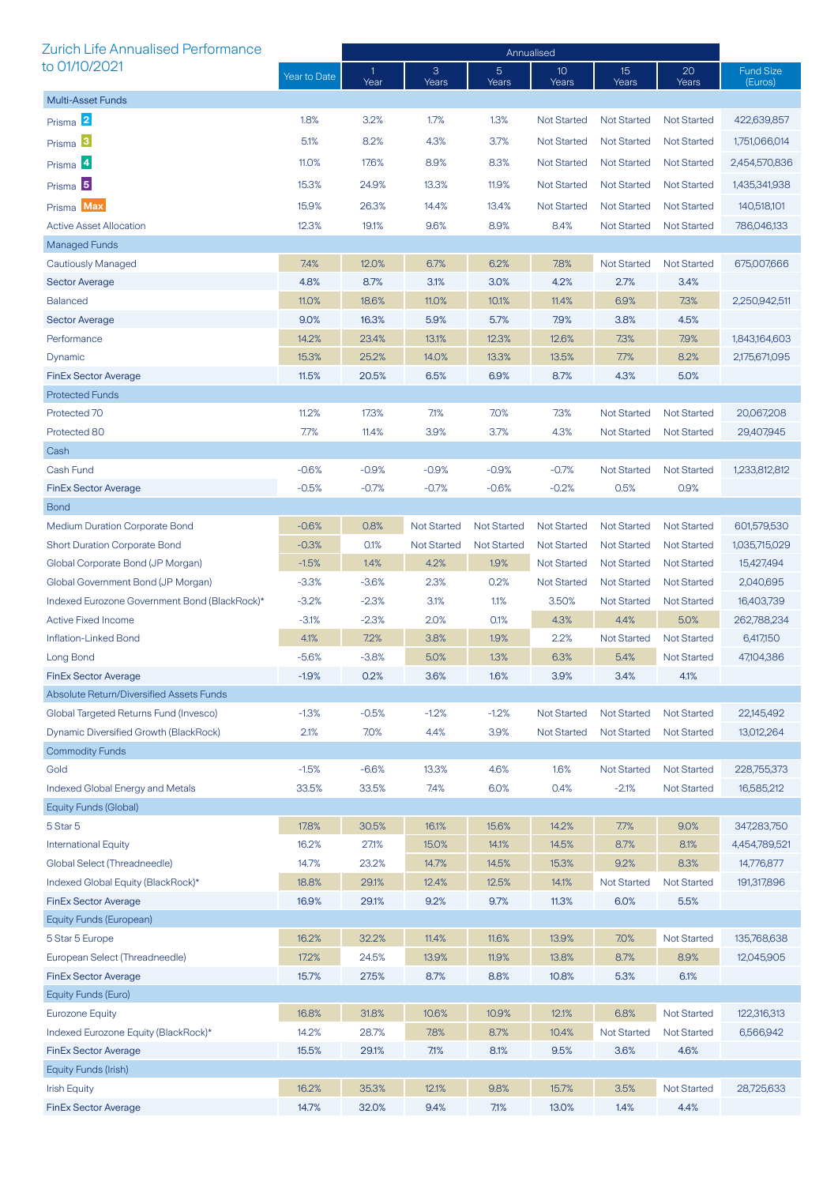| <b>Zurich Life Annualised Performance</b>     |              | Annualised          |                    |                         |                          |                           |                    |                             |  |
|-----------------------------------------------|--------------|---------------------|--------------------|-------------------------|--------------------------|---------------------------|--------------------|-----------------------------|--|
| to 01/10/2021                                 | Year to Date | $\mathbf 1$<br>Year | 3<br>Years         | $\overline{5}$<br>Years | 10 <sup>°</sup><br>Years | 15 <sup>15</sup><br>Years | 20<br>Years        | <b>Fund Size</b><br>(Euros) |  |
| <b>Multi-Asset Funds</b>                      |              |                     |                    |                         |                          |                           |                    |                             |  |
| Prisma 2                                      | 1.8%         | 3.2%                | 1.7%               | 1.3%                    | <b>Not Started</b>       | <b>Not Started</b>        | <b>Not Started</b> | 422,639,857                 |  |
| Prisma <sup>3</sup>                           | 5.1%         | 8.2%                | 4.3%               | 3.7%                    | <b>Not Started</b>       | <b>Not Started</b>        | <b>Not Started</b> | 1,751,066,014               |  |
|                                               | 11.0%        | 17.6%               | 8.9%               | 8.3%                    | <b>Not Started</b>       | <b>Not Started</b>        | <b>Not Started</b> | 2,454,570,836               |  |
| Prisma 4                                      |              |                     |                    |                         |                          |                           |                    |                             |  |
| Prisma <sup>5</sup>                           | 15.3%        | 24.9%               | 13.3%              | 11.9%                   | <b>Not Started</b>       | <b>Not Started</b>        | <b>Not Started</b> | 1,435,341,938               |  |
| Prisma Max                                    | 15.9%        | 26.3%               | 14.4%              | 13.4%                   | <b>Not Started</b>       | <b>Not Started</b>        | <b>Not Started</b> | 140,518,101                 |  |
| <b>Active Asset Allocation</b>                | 12.3%        | 19.1%               | 9.6%               | 8.9%                    | 8.4%                     | <b>Not Started</b>        | <b>Not Started</b> | 786,046,133                 |  |
| Managed Funds                                 |              |                     |                    |                         |                          |                           |                    |                             |  |
| Cautiously Managed                            | 7.4%         | 12.0%               | 6.7%               | 6.2%                    | 7.8%                     | <b>Not Started</b>        | <b>Not Started</b> | 675,007,666                 |  |
| <b>Sector Average</b>                         | 4.8%         | 8.7%                | 3.1%               | 3.0%                    | 4.2%                     | 2.7%                      | 3.4%               |                             |  |
| <b>Balanced</b>                               | 11.0%        | 18.6%               | 11.0%              | 10.1%                   | 11.4%                    | 6.9%                      | 7.3%               | 2,250,942,511               |  |
| <b>Sector Average</b>                         | 9.0%         | 16.3%               | 5.9%               | 5.7%                    | 7.9%                     | 3.8%                      | 4.5%               |                             |  |
| Performance                                   | 14.2%        | 23.4%               | 13.1%              | 12.3%                   | 12.6%                    | 7.3%                      | 7.9%               | 1,843,164,603               |  |
| Dynamic                                       | 15.3%        | 25.2%               | 14.0%              | 13.3%                   | 13.5%                    | 7.7%                      | 8.2%               | 2,175,671,095               |  |
| <b>FinEx Sector Average</b>                   | 11.5%        | 20.5%               | 6.5%               | 6.9%                    | 8.7%                     | 4.3%                      | 5.0%               |                             |  |
| <b>Protected Funds</b>                        |              |                     |                    |                         |                          |                           |                    |                             |  |
| Protected 70                                  | 11.2%        | 17.3%               | 7.1%               | 7.0%                    | 7.3%                     | <b>Not Started</b>        | <b>Not Started</b> | 20,067,208                  |  |
| Protected 80                                  | 7.7%         | 11.4%               | 3.9%               | 3.7%                    | 4.3%                     | Not Started               | <b>Not Started</b> | 29,407,945                  |  |
| Cash                                          |              |                     |                    |                         |                          |                           |                    |                             |  |
| Cash Fund                                     | $-0.6%$      | $-0.9%$             | $-0.9%$            | $-0.9%$                 | $-0.7%$                  | <b>Not Started</b>        | <b>Not Started</b> | 1,233,812,812               |  |
| <b>FinEx Sector Average</b>                   | $-0.5%$      | $-0.7%$             | $-0.7%$            | $-0.6%$                 | $-0.2%$                  | 0.5%                      | 0.9%               |                             |  |
| <b>Bond</b>                                   |              |                     |                    |                         |                          |                           |                    |                             |  |
| <b>Medium Duration Corporate Bond</b>         | $-0.6%$      | 0.8%                | <b>Not Started</b> | <b>Not Started</b>      | <b>Not Started</b>       | <b>Not Started</b>        | <b>Not Started</b> | 601,579,530                 |  |
| <b>Short Duration Corporate Bond</b>          | $-0.3%$      | 0.1%                | <b>Not Started</b> | <b>Not Started</b>      | <b>Not Started</b>       | <b>Not Started</b>        | <b>Not Started</b> | 1,035,715,029               |  |
| Global Corporate Bond (JP Morgan)             | $-1.5%$      | 1.4%                | 4.2%               | 1.9%                    | <b>Not Started</b>       | <b>Not Started</b>        | <b>Not Started</b> | 15,427,494                  |  |
| Global Government Bond (JP Morgan)            | $-3.3%$      | $-3.6%$             | 2.3%               | 0.2%                    | <b>Not Started</b>       | <b>Not Started</b>        | <b>Not Started</b> | 2,040,695                   |  |
| Indexed Eurozone Government Bond (BlackRock)* | $-3.2%$      | $-2.3%$             | 3.1%               | 1.1%                    | 3.50%                    | <b>Not Started</b>        | <b>Not Started</b> | 16,403,739                  |  |
| <b>Active Fixed Income</b>                    | $-3.1%$      | $-2.3%$             | 2.0%               | 0.1%                    | 4.3%                     | 4.4%                      | 5.0%               | 262,788,234                 |  |
| Inflation-Linked Bond                         | 4.1%         | 7.2%                | 3.8%               | 1.9%                    | 2.2%                     | <b>Not Started</b>        | <b>Not Started</b> | 6,417,150                   |  |
| Long Bond                                     | $-5.6%$      | $-3.8%$             | 5.0%               | 1.3%                    | 6.3%                     | 5.4%                      | <b>Not Started</b> | 47,104,386                  |  |
| FinEx Sector Average                          | $-1.9%$      | 0.2%                | $3.6\%$            | 1.6%                    | $3.9\%$                  | 3.4%                      | 4.1%               |                             |  |
| Absolute Return/Diversified Assets Funds      |              |                     |                    |                         |                          |                           |                    |                             |  |
| Global Targeted Returns Fund (Invesco)        | $-1.3%$      | $-0.5%$             | $-1.2%$            | $-1.2%$                 | <b>Not Started</b>       | <b>Not Started</b>        | <b>Not Started</b> | 22,145,492                  |  |
| Dynamic Diversified Growth (BlackRock)        | 2.1%         | 7.0%                | 4.4%               | 3.9%                    | <b>Not Started</b>       | <b>Not Started</b>        | <b>Not Started</b> | 13,012,264                  |  |
| <b>Commodity Funds</b>                        |              |                     |                    |                         |                          |                           |                    |                             |  |
| Gold                                          | $-1.5%$      | $-6.6%$             | 13.3%              | 4.6%                    | 1.6%                     | <b>Not Started</b>        | <b>Not Started</b> | 228,755,373                 |  |
| <b>Indexed Global Energy and Metals</b>       | 33.5%        | 33.5%               | 7.4%               | 6.0%                    | 0.4%                     | $-2.1%$                   | <b>Not Started</b> | 16,585,212                  |  |
| Equity Funds (Global)                         |              |                     |                    |                         |                          |                           |                    |                             |  |
| 5 Star 5                                      | 17.8%        | 30.5%               | 16.1%              | 15.6%                   | 14.2%                    | 7.7%                      | 9.0%               | 347,283,750                 |  |
| <b>International Equity</b>                   | 16.2%        | 27.1%               | 15.0%              | 14.1%                   | 14.5%                    | 8.7%                      | 8.1%               | 4,454,789,521               |  |
| Global Select (Threadneedle)                  | 14.7%        | 23.2%               | 14.7%              | 14.5%                   | 15.3%                    | 9.2%                      | 8.3%               | 14,776,877                  |  |
| Indexed Global Equity (BlackRock)*            | 18.8%        | 29.1%               | 12.4%              | 12.5%                   | 14.1%                    | <b>Not Started</b>        | <b>Not Started</b> | 191,317,896                 |  |
| <b>FinEx Sector Average</b>                   | 16.9%        | 29.1%               | 9.2%               | 9.7%                    | 11.3%                    | 6.0%                      | 5.5%               |                             |  |
| Equity Funds (European)                       |              |                     |                    |                         |                          |                           |                    |                             |  |
| 5 Star 5 Europe                               | 16.2%        | 32.2%               | 11.4%              | 11.6%                   | 13.9%                    | 7.0%                      | <b>Not Started</b> | 135,768,638                 |  |
| European Select (Threadneedle)                | 17.2%        | 24.5%               | 13.9%              | 11.9%                   | 13.8%                    | 8.7%                      | 8.9%               | 12,045,905                  |  |
| <b>FinEx Sector Average</b>                   | 15.7%        | 27.5%               | 8.7%               | 8.8%                    | 10.8%                    | 5.3%                      | 6.1%               |                             |  |
| Equity Funds (Euro)                           |              |                     |                    |                         |                          |                           |                    |                             |  |
| <b>Eurozone Equity</b>                        | 16.8%        | 31.8%               | 10.6%              | 10.9%                   | 12.1%                    | 6.8%                      | <b>Not Started</b> | 122,316,313                 |  |
| Indexed Eurozone Equity (BlackRock)*          | 14.2%        | 28.7%               | 7.8%               | 8.7%                    | 10.4%                    | <b>Not Started</b>        | <b>Not Started</b> | 6,566,942                   |  |
| <b>FinEx Sector Average</b>                   | 15.5%        | 29.1%               | 7.1%               | 8.1%                    | 9.5%                     | 3.6%                      | 4.6%               |                             |  |
| Equity Funds (Irish)                          |              |                     |                    |                         |                          |                           |                    |                             |  |
| <b>Irish Equity</b>                           | 16.2%        | 35.3%               | 12.1%              | 9.8%                    | 15.7%                    | 3.5%                      | <b>Not Started</b> | 28,725,633                  |  |
| <b>FinEx Sector Average</b>                   | 14.7%        | 32.0%               | 9.4%               | 7.1%                    | 13.0%                    | 1.4%                      | 4.4%               |                             |  |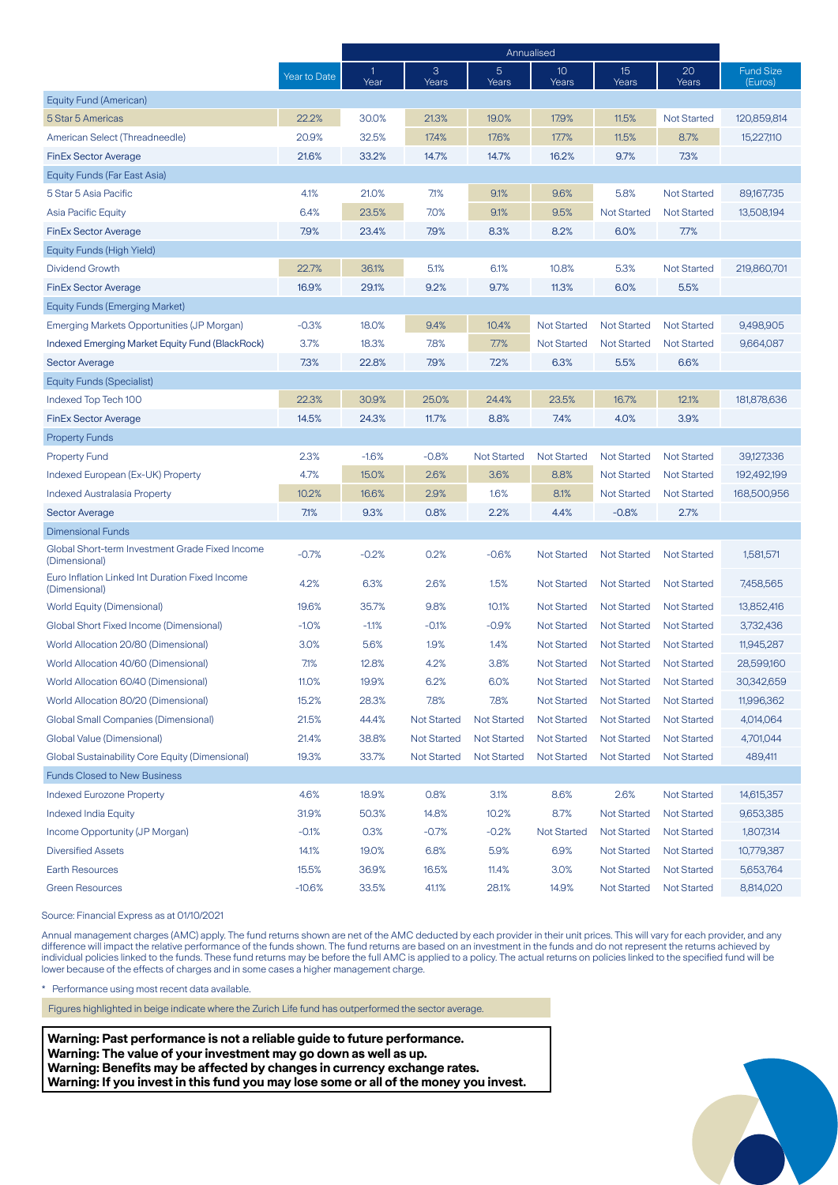|                                                                  |              | Annualised |                    |                    |                    |                    |                    |                             |
|------------------------------------------------------------------|--------------|------------|--------------------|--------------------|--------------------|--------------------|--------------------|-----------------------------|
|                                                                  | Year to Date | -1<br>Year | 3<br>Years         | 5<br>Years         | 10<br>Years        | 15<br>Years        | 20<br>Years        | <b>Fund Size</b><br>(Euros) |
| Equity Fund (American)                                           |              |            |                    |                    |                    |                    |                    |                             |
| 5 Star 5 Americas                                                | 22.2%        | 30.0%      | 21.3%              | 19.0%              | 17.9%              | 11.5%              | <b>Not Started</b> | 120,859,814                 |
| American Select (Threadneedle)                                   | 20.9%        | 32.5%      | 17.4%              | 17.6%              | 17.7%              | 11.5%              | 8.7%               | 15,227,110                  |
| <b>FinEx Sector Average</b>                                      | 21.6%        | 33.2%      | 14.7%              | 14.7%              | 16.2%              | 9.7%               | 7.3%               |                             |
| Equity Funds (Far East Asia)                                     |              |            |                    |                    |                    |                    |                    |                             |
| 5 Star 5 Asia Pacific                                            | 4.1%         | 21.0%      | 7.1%               | 9.1%               | 9.6%               | 5.8%               | <b>Not Started</b> | 89,167,735                  |
| Asia Pacific Equity                                              | 6.4%         | 23.5%      | 7.0%               | 9.1%               | 9.5%               | <b>Not Started</b> | <b>Not Started</b> | 13,508,194                  |
| <b>FinEx Sector Average</b>                                      | 7.9%         | 23.4%      | 7.9%               | 8.3%               | 8.2%               | 6.0%               | 7.7%               |                             |
| Equity Funds (High Yield)                                        |              |            |                    |                    |                    |                    |                    |                             |
| Dividend Growth                                                  | 22.7%        | 36.1%      | 5.1%               | 6.1%               | 10.8%              | 5.3%               | <b>Not Started</b> | 219,860,701                 |
| <b>FinEx Sector Average</b>                                      | 16.9%        | 29.1%      | 9.2%               | 9.7%               | 11.3%              | 6.0%               | 5.5%               |                             |
| <b>Equity Funds (Emerging Market)</b>                            |              |            |                    |                    |                    |                    |                    |                             |
| Emerging Markets Opportunities (JP Morgan)                       | $-0.3%$      | 18.0%      | 9.4%               | 10.4%              | <b>Not Started</b> | <b>Not Started</b> | <b>Not Started</b> | 9,498,905                   |
| <b>Indexed Emerging Market Equity Fund (BlackRock)</b>           | 3.7%         | 18.3%      | 7.8%               | 7.7%               | <b>Not Started</b> | <b>Not Started</b> | <b>Not Started</b> | 9,664,087                   |
| <b>Sector Average</b>                                            | 7.3%         | 22.8%      | 7.9%               | 7.2%               | 6.3%               | 5.5%               | 6.6%               |                             |
| Equity Funds (Specialist)                                        |              |            |                    |                    |                    |                    |                    |                             |
| Indexed Top Tech 100                                             | 22.3%        | 30.9%      | 25.0%              | 24.4%              | 23.5%              | 16.7%              | 12.1%              | 181,878,636                 |
| <b>FinEx Sector Average</b>                                      | 14.5%        | 24.3%      | 11.7%              | 8.8%               | 7.4%               | 4.0%               | 3.9%               |                             |
| <b>Property Funds</b>                                            |              |            |                    |                    |                    |                    |                    |                             |
| <b>Property Fund</b>                                             | 2.3%         | $-1.6%$    | $-0.8%$            | <b>Not Started</b> | <b>Not Started</b> | <b>Not Started</b> | <b>Not Started</b> | 39,127,336                  |
| Indexed European (Ex-UK) Property                                | 4.7%         | 15.0%      | 2.6%               | 3.6%               | 8.8%               | <b>Not Started</b> | <b>Not Started</b> | 192,492,199                 |
| <b>Indexed Australasia Property</b>                              | 10.2%        | 16.6%      | 2.9%               | 1.6%               | 8.1%               | <b>Not Started</b> | <b>Not Started</b> | 168,500,956                 |
| <b>Sector Average</b>                                            | 7.1%         | 9.3%       | 0.8%               | 2.2%               | 4.4%               | $-0.8%$            | 2.7%               |                             |
| <b>Dimensional Funds</b>                                         |              |            |                    |                    |                    |                    |                    |                             |
| Global Short-term Investment Grade Fixed Income<br>(Dimensional) | $-0.7%$      | $-0.2%$    | 0.2%               | $-0.6%$            | <b>Not Started</b> | <b>Not Started</b> | <b>Not Started</b> | 1,581,571                   |
| Euro Inflation Linked Int Duration Fixed Income<br>(Dimensional) | 4.2%         | 6.3%       | 2.6%               | 1.5%               | <b>Not Started</b> | <b>Not Started</b> | <b>Not Started</b> | 7,458,565                   |
| World Equity (Dimensional)                                       | 19.6%        | 35.7%      | 9.8%               | 10.1%              | <b>Not Started</b> | <b>Not Started</b> | <b>Not Started</b> | 13,852,416                  |
| Global Short Fixed Income (Dimensional)                          | $-1.0%$      | $-1.1%$    | $-0.1%$            | $-0.9%$            | <b>Not Started</b> | <b>Not Started</b> | <b>Not Started</b> | 3,732,436                   |
| World Allocation 20/80 (Dimensional)                             | 3.0%         | 5.6%       | 1.9%               | 1.4%               | <b>Not Started</b> | <b>Not Started</b> | <b>Not Started</b> | 11,945,287                  |
| World Allocation 40/60 (Dimensional)                             | 7.1%         | 12.8%      | 4.2%               | 3.8%               | <b>Not Started</b> | <b>Not Started</b> | <b>Not Started</b> | 28,599,160                  |
| World Allocation 60/40 (Dimensional)                             | 11.0%        | 19.9%      | 6.2%               | 6.0%               | <b>Not Started</b> | <b>Not Started</b> | <b>Not Started</b> | 30,342,659                  |
| World Allocation 80/20 (Dimensional)                             | 15.2%        | 28.3%      | 7.8%               | 7.8%               | <b>Not Started</b> | <b>Not Started</b> | <b>Not Started</b> | 11,996,362                  |
| <b>Global Small Companies (Dimensional)</b>                      | 21.5%        | 44.4%      | <b>Not Started</b> | <b>Not Started</b> | <b>Not Started</b> | <b>Not Started</b> | <b>Not Started</b> | 4,014,064                   |
| Global Value (Dimensional)                                       | 21.4%        | 38.8%      | <b>Not Started</b> | <b>Not Started</b> | <b>Not Started</b> | <b>Not Started</b> | <b>Not Started</b> | 4,701,044                   |
| Global Sustainability Core Equity (Dimensional)                  | 19.3%        | 33.7%      | <b>Not Started</b> | <b>Not Started</b> | <b>Not Started</b> | <b>Not Started</b> | <b>Not Started</b> | 489,411                     |
| <b>Funds Closed to New Business</b>                              |              |            |                    |                    |                    |                    |                    |                             |
| <b>Indexed Eurozone Property</b>                                 | 4.6%         | 18.9%      | 0.8%               | 3.1%               | 8.6%               | 2.6%               | <b>Not Started</b> | 14,615,357                  |
| Indexed India Equity                                             | 31.9%        | 50.3%      | 14.8%              | 10.2%              | 8.7%               | <b>Not Started</b> | <b>Not Started</b> | 9,653,385                   |
| Income Opportunity (JP Morgan)                                   | $-0.1%$      | 0.3%       | $-0.7%$            | $-0.2%$            | <b>Not Started</b> | <b>Not Started</b> | <b>Not Started</b> | 1,807,314                   |
| <b>Diversified Assets</b>                                        | 14.1%        | 19.0%      | 6.8%               | 5.9%               | 6.9%               | <b>Not Started</b> | <b>Not Started</b> | 10,779,387                  |
| <b>Earth Resources</b>                                           | 15.5%        | 36.9%      | 16.5%              | 11.4%              | 3.0%               | <b>Not Started</b> | <b>Not Started</b> | 5,653,764                   |
| <b>Green Resources</b>                                           | $-10.6%$     | 33.5%      | 41.1%              | 28.1%              | 14.9%              | <b>Not Started</b> | <b>Not Started</b> | 8,814,020                   |

Source: Financial Express as at 01/10/2021

Annual management charges (AMC) apply. The fund returns shown are net of the AMC deducted by each provider in their unit prices. This will vary for each provider, and any difference will impact the relative performance of the funds shown. The fund returns are based on an investment in the funds and do not represent the returns achieved by individual policies linked to the funds. These fund returns may be before the full AMC is applied to a policy. The actual returns on policies linked to the specified fund will be lower because of the effects of charges and in some cases a higher management charge.

\* Performance using most recent data available.

Figures highlighted in beige indicate where the Zurich Life fund has outperformed the sector average.

**Warning: Past performance is not a reliable guide to future performance. Warning: The value of your investment may go down as well as up. Warning: Benefits may be affected by changes in currency exchange rates. Warning: If you invest in this fund you may lose some or all of the money you invest.**